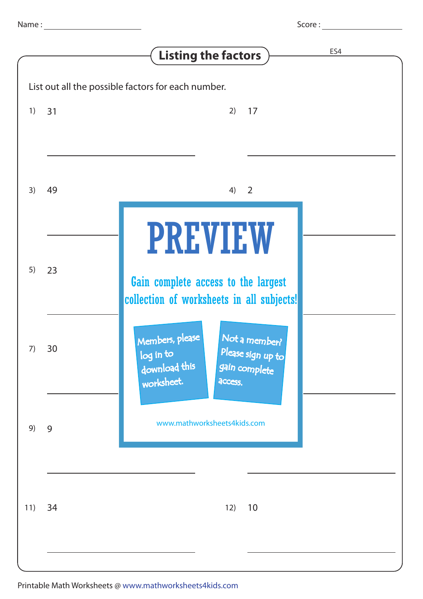|                                                    |    | ES4<br><b>Listing the factors</b>                                                                                             |
|----------------------------------------------------|----|-------------------------------------------------------------------------------------------------------------------------------|
| List out all the possible factors for each number. |    |                                                                                                                               |
| 1)                                                 | 31 | 17<br>2)                                                                                                                      |
| 3)                                                 | 49 | $\overline{\phantom{0}}$<br>4)                                                                                                |
| 5)                                                 | 23 | <b>PREVIEW</b><br>Gain complete access to the largest<br>collection of worksheets in all subjects!                            |
| 7)                                                 | 30 | Members, please<br>Not a member?<br>Please sign up to<br>log in to<br>download this<br>gain complete<br>worksheet.<br>access. |
| 9)                                                 | 9  | www.mathworksheets4kids.com                                                                                                   |
| 11)                                                | 34 | 10<br>12)                                                                                                                     |